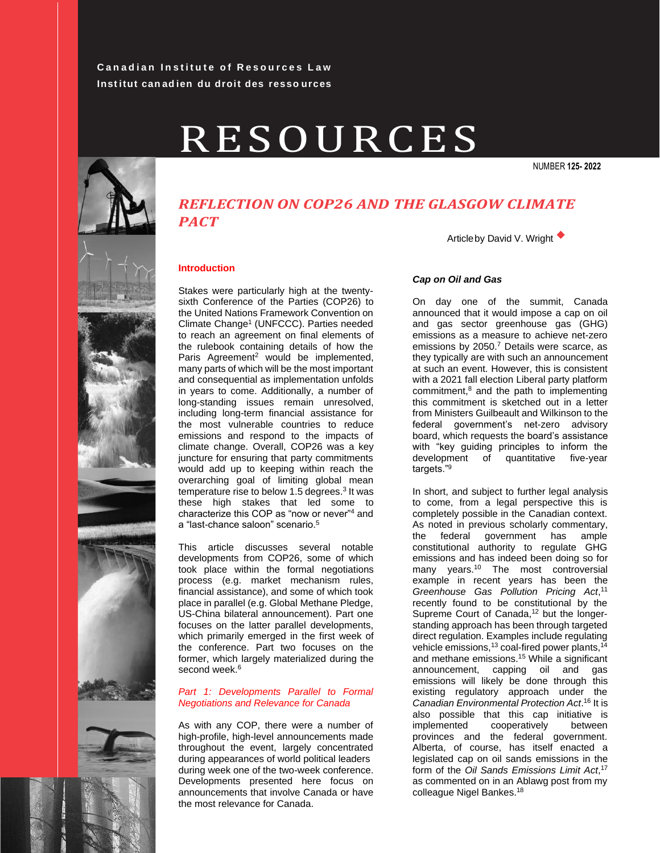# **Canadian Institute of Resources Law Inst itut can ad ien du droit des resso urces**

# RESOURCES

NUMBER **125- 2022**



# *REFLECTION ON COP26 AND THE GLASGOW CLIMATE PACT*\_\_\_\_\_\_\_\_\_\_\_\_\_\_\_\_\_\_\_\_\_\_

# **Introduction**

Stakes were particularly high at the twentysixth Conference of the Parties (COP26) to the United Nations Framework Convention on Climate Change<sup>1</sup> (UNFCCC). Parties needed to reach an agreement on final elements of the rulebook containing details of how the Paris Agreement<sup>2</sup> would be implemented, many parts of which will be the most important and consequential as implementation unfolds in years to come. Additionally, a number of long-standing issues remain unresolved, including long-term financial assistance for the most vulnerable countries to reduce emissions and respond to the impacts of climate change. Overall, COP26 was a key juncture for ensuring that party commitments would add up to keeping within reach the overarching goal of limiting global mean temperature rise to below 1.5 degrees.<sup>3</sup> It was these high stakes that led some to characterize this COP as "now or never"<sup>4</sup> and a "last-chance saloon" scenario.<sup>5</sup>

This article discusses several notable developments from COP26, some of which took place within the formal negotiations process (e.g. market mechanism rules, financial assistance), and some of which took place in parallel (e.g. Global Methane Pledge, US-China bilateral announcement). Part one focuses on the latter parallel developments, which primarily emerged in the first week of the conference. Part two focuses on the former, which largely materialized during the second week.<sup>6</sup>

# *Part 1: Developments Parallel to Formal Negotiations and Relevance for Canada*

As with any COP, there were a number of high-profile, high-level announcements made throughout the event, largely concentrated during appearances of world political leaders during week one of the two-week conference. Developments presented here focus on announcements that involve Canada or have the most relevance for Canada.

Articleby David V. Wright ◆

# *Cap on Oil and Gas*

On day one of the summit, Canada announced that it would impose a cap on oil and gas sector greenhouse gas (GHG) emissions as a measure to achieve net-zero emissions by 2050.<sup>7</sup> Details were scarce, as they typically are with such an announcement at such an event. However, this is consistent with a 2021 fall election Liberal party platform commitment,<sup>8</sup> and the path to implementing this commitment is sketched out in a letter from Ministers Guilbeault and Wilkinson to the federal government's net-zero advisory board, which requests the board's assistance with "key guiding principles to inform the development of quantitative five-year targets."<sup>9</sup>

In short, and subject to further legal analysis to come, from a legal perspective this is completely possible in the Canadian context. As noted in previous scholarly commentary, the federal government has ample constitutional authority to regulate GHG emissions and has indeed been doing so for many years.<sup>10</sup> The most controversial example in recent years has been the *Greenhouse Gas Pollution Pricing Act*, 11 recently found to be constitutional by the Supreme Court of Canada,<sup>12</sup> but the longerstanding approach has been through targeted direct regulation. Examples include regulating vehicle emissions, $^{13}$  coal-fired power plants, $^{14}$ and methane emissions.<sup>15</sup> While a significant announcement, capping oil and gas emissions will likely be done through this existing regulatory approach under the *Canadian Environmental Protection Act*. <sup>16</sup> It is also possible that this cap initiative is implemented cooperatively between provinces and the federal government. Alberta, of course, has itself enacted a legislated cap on oil sands emissions in the form of the *Oil Sands Emissions Limit Act*, 17 as commented on in an Ablawg post from my colleague Nigel Bankes.18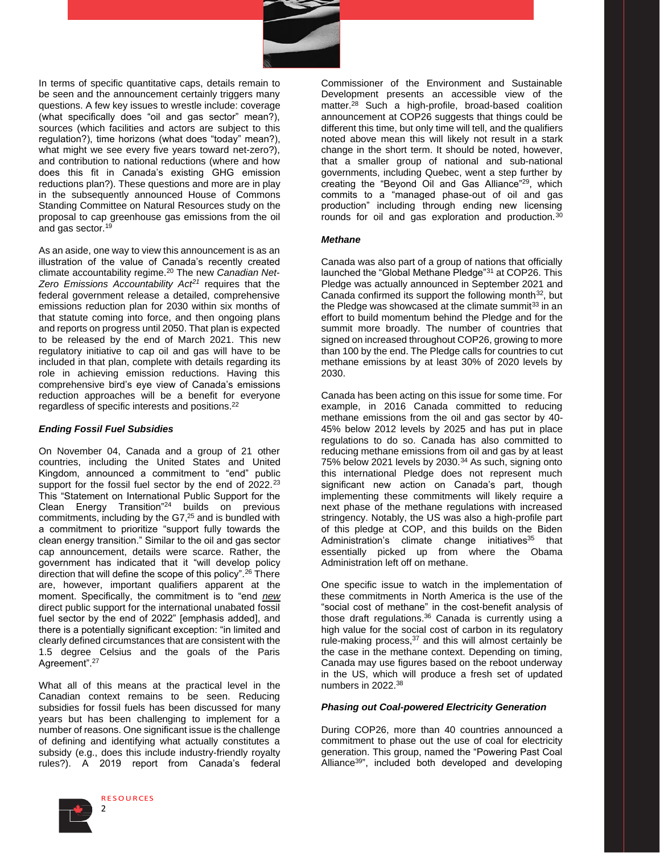

In terms of specific quantitative caps, details remain to be seen and the announcement certainly triggers many questions. A few key issues to wrestle include: coverage (what specifically does "oil and gas sector" mean?), sources (which facilities and actors are subject to this regulation?), time horizons (what does "today" mean?), what might we see every five years toward net-zero?), and contribution to national reductions (where and how does this fit in Canada's existing GHG emission reductions plan?). These questions and more are in play in the subsequently announced House of Commons Standing Committee on Natural Resources study on the proposal to cap greenhouse gas emissions from the oil and gas sector.<sup>19</sup>

As an aside, one way to view this announcement is as an illustration of the value of Canada's recently created climate accountability regime.<sup>20</sup> The new *Canadian Net-Zero Emissions Accountability Act<sup>21</sup>* requires that the federal government release a detailed, comprehensive emissions reduction plan for 2030 within six months of that statute coming into force, and then ongoing plans and reports on progress until 2050. That plan is expected to be released by the end of March 2021. This new regulatory initiative to cap oil and gas will have to be included in that plan, complete with details regarding its role in achieving emission reductions. Having this comprehensive bird's eye view of Canada's emissions reduction approaches will be a benefit for everyone regardless of specific interests and positions.<sup>22</sup>

### *Ending Fossil Fuel Subsidies*

On November 04, Canada and a group of 21 other countries, including the United States and United Kingdom, announced a commitment to "end" public support for the fossil fuel sector by the end of 2022.<sup>23</sup> This "Statement on International Public Support for the Clean Energy Transition"<sup>24</sup> builds on previous commitments, including by the G7,<sup>25</sup> and is bundled with a commitment to prioritize "support fully towards the clean energy transition." Similar to the oil and gas sector cap announcement, details were scarce. Rather, the government has indicated that it "will develop policy direction that will define the scope of this policy".<sup>26</sup> There are, however, important qualifiers apparent at the moment. Specifically, the commitment is to "end *new* direct public support for the international unabated fossil fuel sector by the end of 2022" [emphasis added], and there is a potentially significant exception: "in limited and clearly defined circumstances that are consistent with the 1.5 degree Celsius and the goals of the Paris Agreement".<sup>27</sup>

What all of this means at the practical level in the Canadian context remains to be seen. Reducing subsidies for fossil fuels has been discussed for many years but has been challenging to implement for a number of reasons. One significant issue is the challenge of defining and identifying what actually constitutes a subsidy (e.g., does this include industry-friendly royalty rules?). A 2019 report from Canada's federal



**RESOURCES** 2

Commissioner of the Environment and Sustainable Development presents an accessible view of the matter.<sup>28</sup> Such a high-profile, broad-based coalition announcement at COP26 suggests that things could be different this time, but only time will tell, and the qualifiers noted above mean this will likely not result in a stark change in the short term. It should be noted, however, that a smaller group of national and sub-national governments, including Quebec, went a step further by creating the "Beyond Oil and Gas Alliance"<sup>29</sup>, which commits to a "managed phase-out of oil and gas production" including through ending new licensing rounds for oil and gas exploration and production.<sup>30</sup>

#### *Methane*

Canada was also part of a group of nations that officially launched the "Global Methane Pledge"<sup>31</sup> at COP26. This Pledge was actually announced in September 2021 and Canada confirmed its support the following month $32$ , but the Pledge was showcased at the climate summit $33$  in an effort to build momentum behind the Pledge and for the summit more broadly. The number of countries that signed on increased throughout COP26, growing to more than 100 by the end. The Pledge calls for countries to cut methane emissions by at least 30% of 2020 levels by 2030.

Canada has been acting on this issue for some time. For example, in 2016 Canada committed to reducing methane emissions from the oil and gas sector by 40- 45% below 2012 levels by 2025 and has put in place regulations to do so. Canada has also committed to reducing methane emissions from oil and gas by at least 75% below 2021 levels by 2030.<sup>34</sup> As such, signing onto this international Pledge does not represent much significant new action on Canada's part, though implementing these commitments will likely require a next phase of the methane regulations with increased stringency. Notably, the US was also a high-profile part of this pledge at COP, and this builds on the Biden Administration's climate change initiatives $35$  that essentially picked up from where the Obama Administration left off on methane.

One specific issue to watch in the implementation of these commitments in North America is the use of the "social cost of methane" in the cost-benefit analysis of those draft regulations.<sup>36</sup> Canada is currently using a high value for the social cost of carbon in its regulatory rule-making process,<sup>37</sup> and this will almost certainly be the case in the methane context. Depending on timing, Canada may use figures based on the reboot underway in the US, which will produce a fresh set of updated numbers in 2022.<sup>38</sup>

#### *Phasing out Coal-powered Electricity Generation*

During COP26, more than 40 countries announced a commitment to phase out the use of coal for electricity generation. This group, named the "Powering Past Coal Alliance<sup>39</sup>", included both developed and developing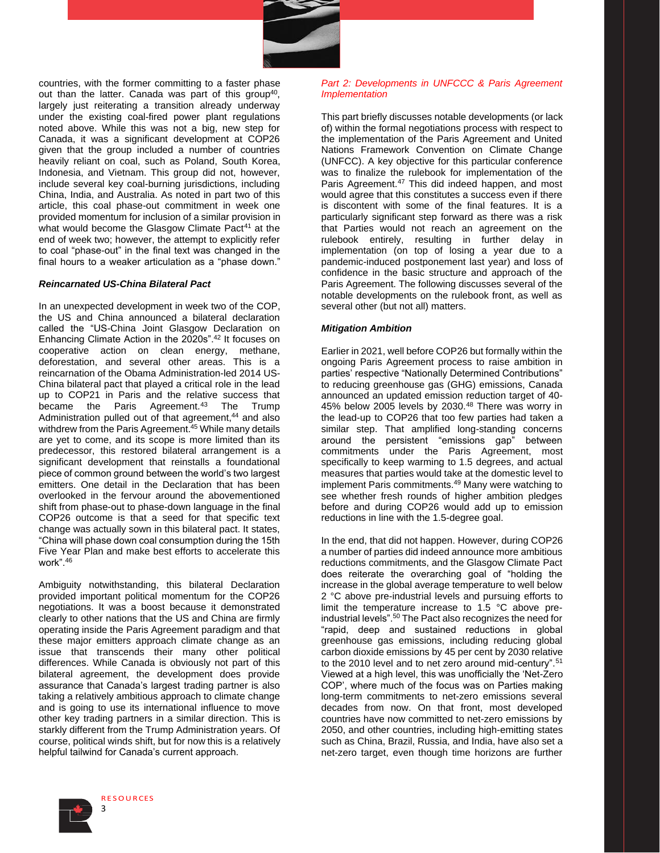

countries, with the former committing to a faster phase out than the latter. Canada was part of this group<sup>40</sup>, largely just reiterating a transition already underway under the existing coal-fired power plant regulations noted above. While this was not a big, new step for Canada, it was a significant development at COP26 given that the group included a number of countries heavily reliant on coal, such as Poland, South Korea, Indonesia, and Vietnam. This group did not, however, include several key coal-burning jurisdictions, including China, India, and Australia. As noted in part two of this article, this coal phase-out commitment in week one provided momentum for inclusion of a similar provision in what would become the Glasgow Climate Pact<sup>41</sup> at the end of week two; however, the attempt to explicitly refer to coal "phase-out" in the final text was changed in the final hours to a weaker articulation as a "phase down."

#### *Reincarnated US-China Bilateral Pact*

In an unexpected development in week two of the COP, the US and China announced a bilateral declaration called the "US-China Joint Glasgow Declaration on Enhancing Climate Action in the 2020s".<sup>42</sup> It focuses on cooperative action on clean energy, methane, deforestation, and several other areas. This is a reincarnation of the Obama Administration-led 2014 US-China bilateral pact that played a critical role in the lead up to COP21 in Paris and the relative success that became the Paris Agreement.<sup>43</sup> The Trump Administration pulled out of that agreement,<sup>44</sup> and also withdrew from the Paris Agreement.<sup>45</sup> While many details are yet to come, and its scope is more limited than its predecessor, this restored bilateral arrangement is a significant development that reinstalls a foundational piece of common ground between the world's two largest emitters. One detail in the Declaration that has been overlooked in the fervour around the abovementioned shift from phase-out to phase-down language in the final COP26 outcome is that a seed for that specific text change was actually sown in this bilateral pact. It states, "China will phase down coal consumption during the 15th Five Year Plan and make best efforts to accelerate this work".<sup>46</sup>

Ambiguity notwithstanding, this bilateral Declaration provided important political momentum for the COP26 negotiations. It was a boost because it demonstrated clearly to other nations that the US and China are firmly operating inside the Paris Agreement paradigm and that these major emitters approach climate change as an issue that transcends their many other political differences. While Canada is obviously not part of this bilateral agreement, the development does provide assurance that Canada's largest trading partner is also taking a relatively ambitious approach to climate change and is going to use its international influence to move other key trading partners in a similar direction. This is starkly different from the Trump Administration years. Of course, political winds shift, but for now this is a relatively helpful tailwind for Canada's current approach.

# *Part 2: Developments in UNFCCC & Paris Agreement Implementation*

This part briefly discusses notable developments (or lack of) within the formal negotiations process with respect to the implementation of the Paris Agreement and United Nations Framework Convention on Climate Change (UNFCC). A key objective for this particular conference was to finalize the rulebook for implementation of the Paris Agreement.<sup>47</sup> This did indeed happen, and most would agree that this constitutes a success even if there is discontent with some of the final features. It is a particularly significant step forward as there was a risk that Parties would not reach an agreement on the rulebook entirely, resulting in further delay in implementation (on top of losing a year due to a pandemic-induced postponement last year) and loss of confidence in the basic structure and approach of the Paris Agreement. The following discusses several of the notable developments on the rulebook front, as well as several other (but not all) matters.

#### *Mitigation Ambition*

Earlier in 2021, well before COP26 but formally within the ongoing Paris Agreement process to raise ambition in parties' respective "Nationally Determined Contributions" to reducing greenhouse gas (GHG) emissions, Canada announced an updated emission reduction target of 40- 45% below 2005 levels by 2030.<sup>48</sup> There was worry in the lead-up to COP26 that too few parties had taken a similar step. That amplified long-standing concerns around the persistent "emissions gap" between commitments under the Paris Agreement, most specifically to keep warming to 1.5 degrees, and actual measures that parties would take at the domestic level to implement Paris commitments.<sup>49</sup> Many were watching to see whether fresh rounds of higher ambition pledges before and during COP26 would add up to emission reductions in line with the 1.5-degree goal.

In the end, that did not happen. However, during COP26 a number of parties did indeed announce more ambitious reductions commitments, and the Glasgow Climate Pact does reiterate the overarching goal of "holding the increase in the global average temperature to well below 2 °C above pre-industrial levels and pursuing efforts to limit the temperature increase to 1.5 °C above preindustrial levels".<sup>50</sup> The Pact also recognizes the need for "rapid, deep and sustained reductions in global greenhouse gas emissions, including reducing global carbon dioxide emissions by 45 per cent by 2030 relative to the 2010 level and to net zero around mid-century".<sup>51</sup> Viewed at a high level, this was unofficially the 'Net-Zero COP', where much of the focus was on Parties making long-term commitments to net-zero emissions several decades from now. On that front, most developed countries have now committed to net-zero emissions by 2050, and other countries, including high-emitting states such as China, Brazil, Russia, and India, have also set a net-zero target, even though time horizons are further

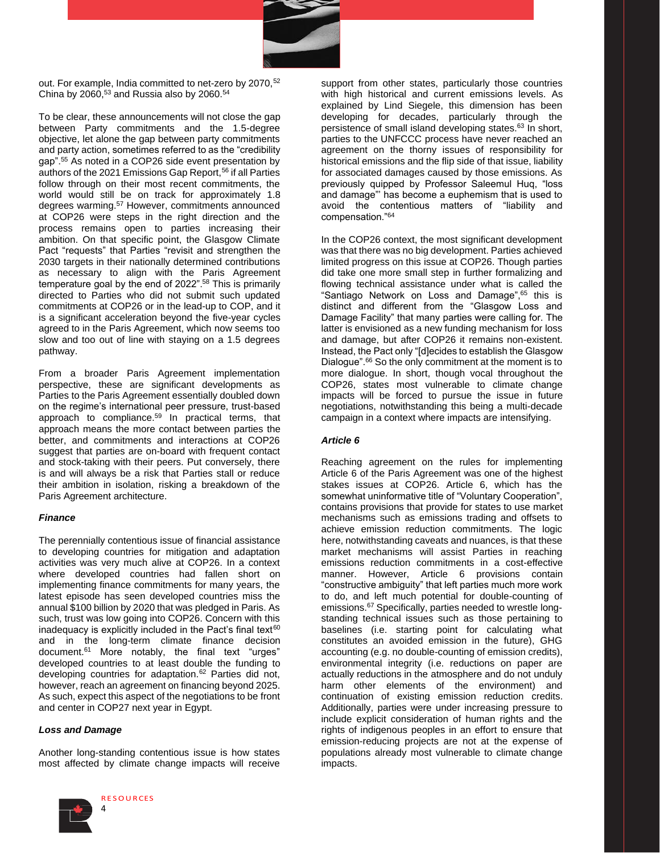

out. For example, India committed to net-zero by 2070,<sup>52</sup> China by 2060, $53$  and Russia also by 2060. $54$ 

To be clear, these announcements will not close the gap between Party commitments and the 1.5-degree objective, let alone the gap between party commitments and party action, sometimes referred to as the "credibility gap".<sup>55</sup> As noted in a COP26 side event presentation by authors of the 2021 Emissions Gap Report,<sup>56</sup> if all Parties follow through on their most recent commitments, the world would still be on track for approximately 1.8 degrees warming.<sup>57</sup> However, commitments announced at COP26 were steps in the right direction and the process remains open to parties increasing their ambition. On that specific point, the Glasgow Climate Pact "requests" that Parties "revisit and strengthen the 2030 targets in their nationally determined contributions as necessary to align with the Paris Agreement temperature goal by the end of 2022".<sup>58</sup> This is primarily directed to Parties who did not submit such updated commitments at COP26 or in the lead-up to COP, and it is a significant acceleration beyond the five-year cycles agreed to in the Paris Agreement, which now seems too slow and too out of line with staying on a 1.5 degrees pathway.

From a broader Paris Agreement implementation perspective, these are significant developments as Parties to the Paris Agreement essentially doubled down on the regime's international peer pressure, trust-based approach to compliance.<sup>59</sup> In practical terms, that approach means the more contact between parties the better, and commitments and interactions at COP26 suggest that parties are on-board with frequent contact and stock-taking with their peers. Put conversely, there is and will always be a risk that Parties stall or reduce their ambition in isolation, risking a breakdown of the Paris Agreement architecture.

# *Finance*

The perennially contentious issue of financial assistance to developing countries for mitigation and adaptation activities was very much alive at COP26. In a context where developed countries had fallen short on implementing finance commitments for many years, the latest episode has seen developed countries miss the annual \$100 billion by 2020 that was pledged in Paris. As such, trust was low going into COP26. Concern with this inadequacy is explicitly included in the Pact's final text $60$ and in the long-term climate finance decision document.<sup>61</sup> More notably, the final text "urges" developed countries to at least double the funding to developing countries for adaptation.<sup>62</sup> Parties did not, however, reach an agreement on financing beyond 2025. As such, expect this aspect of the negotiations to be front and center in COP27 next year in Egypt.

# *Loss and Damage*

Another long-standing contentious issue is how states most affected by climate change impacts will receive



support from other states, particularly those countries with high historical and current emissions levels. As explained by Lind Siegele, this dimension has been developing for decades, particularly through the persistence of small island developing states.<sup>63</sup> In short, parties to the UNFCCC process have never reached an agreement on the thorny issues of responsibility for historical emissions and the flip side of that issue, liability for associated damages caused by those emissions. As previously quipped by Professor Saleemul Huq, "loss and damage"' has become a euphemism that is used to avoid the contentious matters of "liability and compensation."<sup>64</sup>

In the COP26 context, the most significant development was that there was no big development. Parties achieved limited progress on this issue at COP26. Though parties did take one more small step in further formalizing and flowing technical assistance under what is called the "Santiago Network on Loss and Damage",<sup>65</sup> this is distinct and different from the "Glasgow Loss and Damage Facility" that many parties were calling for. The latter is envisioned as a new funding mechanism for loss and damage, but after COP26 it remains non-existent. Instead, the Pact only "[d]ecides to establish the Glasgow Dialogue".<sup>66</sup> So the only commitment at the moment is to more dialogue. In short, though vocal throughout the COP26, states most vulnerable to climate change impacts will be forced to pursue the issue in future negotiations, notwithstanding this being a multi-decade campaign in a context where impacts are intensifying.

# *Article 6*

Reaching agreement on the rules for implementing Article 6 of the Paris Agreement was one of the highest stakes issues at COP26. Article 6, which has the somewhat uninformative title of "Voluntary Cooperation", contains provisions that provide for states to use market mechanisms such as emissions trading and offsets to achieve emission reduction commitments. The logic here, notwithstanding caveats and nuances, is that these market mechanisms will assist Parties in reaching emissions reduction commitments in a cost-effective manner. However, Article 6 provisions contain "constructive ambiguity" that left parties much more work to do, and left much potential for double-counting of emissions.<sup>67</sup> Specifically, parties needed to wrestle longstanding technical issues such as those pertaining to baselines (i.e. starting point for calculating what constitutes an avoided emission in the future), GHG accounting (e.g. no double-counting of emission credits), environmental integrity (i.e. reductions on paper are actually reductions in the atmosphere and do not unduly harm other elements of the environment) and continuation of existing emission reduction credits. Additionally, parties were under increasing pressure to include explicit consideration of human rights and the rights of indigenous peoples in an effort to ensure that emission-reducing projects are not at the expense of populations already most vulnerable to climate change impacts.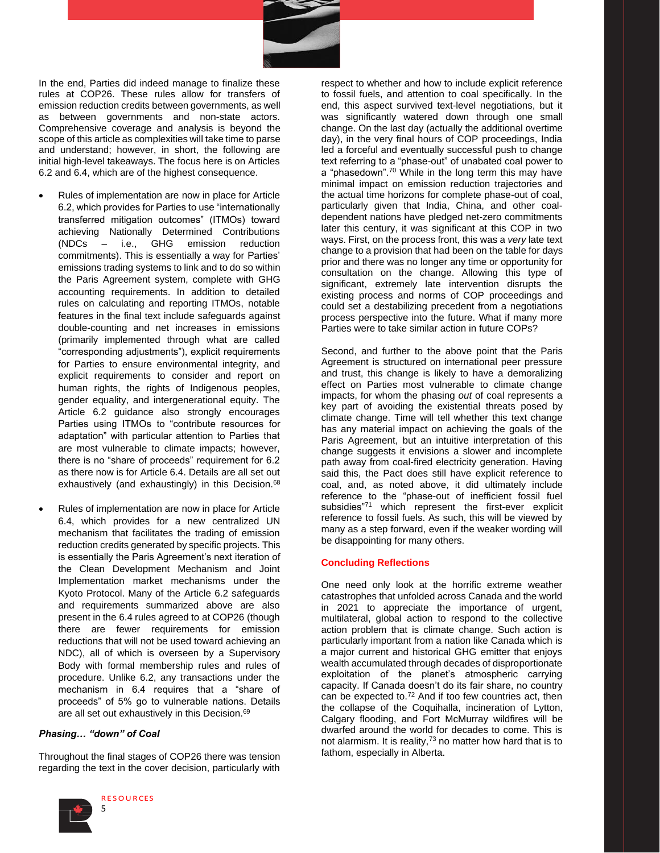

In the end, Parties did indeed manage to finalize these rules at COP26. These rules allow for transfers of emission reduction credits between governments, as well as between governments and non-state actors. Comprehensive coverage and analysis is beyond the scope of this article as complexities will take time to parse and understand; however, in short, the following are initial high-level takeaways. The focus here is on Articles 6.2 and 6.4, which are of the highest consequence.

- Rules of implementation are now in place for Article 6.2, which provides for Parties to use "internationally transferred mitigation outcomes" (ITMOs) toward achieving Nationally Determined Contributions (NDCs – i.e., GHG emission reduction commitments). This is essentially a way for Parties' emissions trading systems to link and to do so within the Paris Agreement system, complete with GHG accounting requirements. In addition to detailed rules on calculating and reporting ITMOs, notable features in the final text include safeguards against double-counting and net increases in emissions (primarily implemented through what are called "corresponding adjustments"), explicit requirements for Parties to ensure environmental integrity, and explicit requirements to consider and report on human rights, the rights of Indigenous peoples, gender equality, and intergenerational equity. The Article 6.2 guidance also strongly encourages Parties using ITMOs to "contribute resources for adaptation" with particular attention to Parties that are most vulnerable to climate impacts; however, there is no "share of proceeds" requirement for 6.2 as there now is for Article 6.4. Details are all set out exhaustively (and exhaustingly) in this Decision.<sup>68</sup>
- Rules of implementation are now in place for Article 6.4, which provides for a new centralized UN mechanism that facilitates the trading of emission reduction credits generated by specific projects. This is essentially the Paris Agreement's next iteration of the Clean Development Mechanism and Joint Implementation market mechanisms under the Kyoto Protocol. Many of the Article 6.2 safeguards and requirements summarized above are also present in the 6.4 rules agreed to at COP26 (though there are fewer requirements for emission reductions that will not be used toward achieving an NDC), all of which is overseen by a Supervisory Body with formal membership rules and rules of procedure. Unlike 6.2, any transactions under the mechanism in 6.4 requires that a "share of proceeds" of 5% go to vulnerable nations. Details are all set out exhaustively in this Decision.<sup>69</sup>

# *Phasing… "down" of Coal*

Throughout the final stages of COP26 there was tension regarding the text in the cover decision, particularly with



respect to whether and how to include explicit reference to fossil fuels, and attention to coal specifically. In the end, this aspect survived text-level negotiations, but it was significantly watered down through one small change. On the last day (actually the additional overtime day), in the very final hours of COP proceedings, India led a forceful and eventually successful push to change text referring to a "phase-out" of unabated coal power to a "phasedown".<sup>70</sup> While in the long term this may have minimal impact on emission reduction trajectories and the actual time horizons for complete phase-out of coal, particularly given that India, China, and other coaldependent nations have pledged net-zero commitments later this century, it was significant at this COP in two ways. First, on the process front, this was a *very* late text change to a provision that had been on the table for days prior and there was no longer any time or opportunity for consultation on the change. Allowing this type of significant, extremely late intervention disrupts the existing process and norms of COP proceedings and could set a destabilizing precedent from a negotiations process perspective into the future. What if many more Parties were to take similar action in future COPs?

Second, and further to the above point that the Paris Agreement is structured on international peer pressure and trust, this change is likely to have a demoralizing effect on Parties most vulnerable to climate change impacts, for whom the phasing *out* of coal represents a key part of avoiding the existential threats posed by climate change. Time will tell whether this text change has any material impact on achieving the goals of the Paris Agreement, but an intuitive interpretation of this change suggests it envisions a slower and incomplete path away from coal-fired electricity generation. Having said this, the Pact does still have explicit reference to coal, and, as noted above, it did ultimately include reference to the "phase-out of inefficient fossil fuel subsidies"<sup>71</sup> which represent the first-ever explicit reference to fossil fuels. As such, this will be viewed by many as a step forward, even if the weaker wording will be disappointing for many others.

#### **Concluding Reflections**

One need only look at the horrific extreme weather catastrophes that unfolded across Canada and the world in 2021 to appreciate the importance of urgent, multilateral, global action to respond to the collective action problem that is climate change. Such action is particularly important from a nation like Canada which is a major current and historical GHG emitter that enjoys wealth accumulated through decades of disproportionate exploitation of the planet's atmospheric carrying capacity. If Canada doesn't do its fair share, no country can be expected to.<sup>72</sup> And if too few countries act, then the collapse of the Coquihalla, incineration of Lytton, Calgary flooding, and Fort McMurray wildfires will be dwarfed around the world for decades to come. This is not alarmism. It is reality,<sup>73</sup> no matter how hard that is to fathom, especially in Alberta.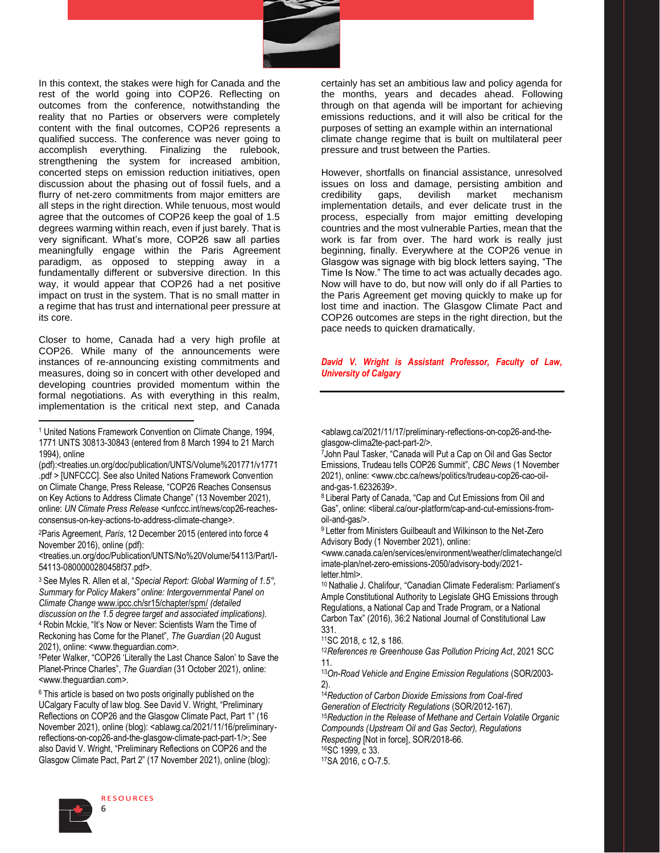

In this context, the stakes were high for Canada and the rest of the world going into COP26. Reflecting on outcomes from the conference, notwithstanding the reality that no Parties or observers were completely content with the final outcomes, COP26 represents a qualified success. The conference was never going to accomplish everything. Finalizing the rulebook, strengthening the system for increased ambition, concerted steps on emission reduction initiatives, open discussion about the phasing out of fossil fuels, and a flurry of net-zero commitments from major emitters are all steps in the right direction. While tenuous, most would agree that the outcomes of COP26 keep the goal of 1.5 degrees warming within reach, even if just barely. That is very significant. What's more, COP26 saw all parties meaningfully engage within the Paris Agreement paradigm, as opposed to stepping away in a fundamentally different or subversive direction. In this way, it would appear that COP26 had a net positive impact on trust in the system. That is no small matter in a regime that has trust and international peer pressure at its core.

Closer to home, Canada had a very high profile at COP26. While many of the announcements were instances of re-announcing existing commitments and measures, doing so in concert with other developed and developing countries provided momentum within the formal negotiations. As with everything in this realm, implementation is the critical next step, and Canada

<sup>2</sup>Paris Agreement, *Paris*, 12 December 2015 (entered into force 4 November 2016), online (pdf):

<treaties.un.org/doc/Publication/UNTS/No%20Volume/54113/Part/I-54113-0800000280458f37.pdf>.

<sup>3</sup>See Myles R. Allen et al, "*Special Report: Global Warming of 1.5°, Summary for Policy Makers" online: Intergovernmental Panel on Climate Change* www.ipcc.ch/sr15/chapter/spm/ *(detailed discussion on the 1.5 degree target and associated implications).* <sup>4</sup>Robin Mckie, "It's Now or Never: Scientists Warn the Time of Reckoning has Come for the Planet", *The Guardian* (20 August 2021), online: <www.theguardian.com>.

<sup>5</sup>Peter Walker, "COP26 'Literally the Last Chance Salon' to Save the Planet-Prince Charles", *The Guardian* (31 October 2021), online: <www.theguardian.com>.

<sup>6</sup> This article is based on two posts originally published on the UCalgary Faculty of law blog. See David V. Wright, "Preliminary Reflections on COP26 and the Glasgow Climate Pact, Part 1" (16 November 2021), online (blog): <ablawg.ca/2021/11/16/preliminaryreflections-on-cop26-and-the-glasgow-climate-pact-part-1/>; See also David V. Wright, "Preliminary Reflections on COP26 and the Glasgow Climate Pact, Part 2" (17 November 2021), online (blog):



**RESOURCES** 

certainly has set an ambitious law and policy agenda for the months, years and decades ahead. Following through on that agenda will be important for achieving emissions reductions, and it will also be critical for the purposes of setting an example within an international climate change regime that is built on multilateral peer pressure and trust between the Parties.

However, shortfalls on financial assistance, unresolved issues on loss and damage, persisting ambition and credibility aaps, devilish market mechanism gaps, devilish market mechanism implementation details, and ever delicate trust in the process, especially from major emitting developing countries and the most vulnerable Parties, mean that the work is far from over. The hard work is really just beginning, finally. Everywhere at the COP26 venue in Glasgow was signage with big block letters saying, "The Time Is Now." The time to act was actually decades ago. Now will have to do, but now will only do if all Parties to the Paris Agreement get moving quickly to make up for lost time and inaction. The Glasgow Climate Pact and COP26 outcomes are steps in the right direction, but the pace needs to quicken dramatically.

### *David V. Wright is Assistant Professor, Faculty of Law, University of Calgary*

<ablawg.ca/2021/11/17/preliminary-reflections-on-cop26-and-theglasgow-clima2te-pact-part-2/>.

<sup>7</sup>John Paul Tasker, "Canada will Put a Cap on Oil and Gas Sector Emissions, Trudeau tells COP26 Summit", *CBC News* (1 November 2021), online: <www.cbc.ca/news/politics/trudeau-cop26-cao-oiland-gas-1.6232639>.

<sup>8</sup>Liberal Party of Canada, "Cap and Cut Emissions from Oil and Gas", online: <liberal.ca/our-platform/cap-and-cut-emissions-fromoil-and-gas/>.

<sup>9</sup>Letter from Ministers Guilbeault and Wilkinson to the Net-Zero Advisory Body (1 November 2021), online:

<www.canada.ca/en/services/environment/weather/climatechange/cl imate-plan/net-zero-emissions-2050/advisory-body/2021 letter.html>.

10 Nathalie J. Chalifour, "Canadian Climate Federalism: Parliament's Ample Constitutional Authority to Legislate GHG Emissions through Regulations, a National Cap and Trade Program, or a National Carbon Tax" (2016), 36:2 National Journal of Constitutional Law 331.

<sup>11</sup>SC 2018, c 12, s 186.

<sup>12</sup>*References re Greenhouse Gas Pollution Pricing Act*, 2021 SCC 11.

<sup>13</sup>*On-Road Vehicle and Engine Emission Regulations* (SOR/2003- 2).

<sup>14</sup>*Reduction of Carbon Dioxide Emissions from Coal-fired Generation of Electricity Regulations* (SOR/2012-167). <sup>15</sup>*Reduction in the Release of Methane and Certain Volatile Organic Compounds (Upstream Oil and Gas Sector), Regulations Respecting* [Not in force], SOR/2018-66. <sup>16</sup>SC 1999, c 33.

17SA 2016, c O-7.5.

<sup>1</sup> United Nations Framework Convention on Climate Change, 1994, 1771 UNTS 30813-30843 (entered from 8 March 1994 to 21 March 1994), online

<sup>(</sup>pdf):<treaties.un.org/doc/publication/UNTS/Volume%201771/v1771 .pdf > [UNFCCC]. See also United Nations Framework Convention on Climate Change, Press Release, "COP26 Reaches Consensus on Key Actions to Address Climate Change" (13 November 2021), online: *UN Climate Press Release* <unfccc.int/news/cop26-reachesconsensus-on-key-actions-to-address-climate-change>.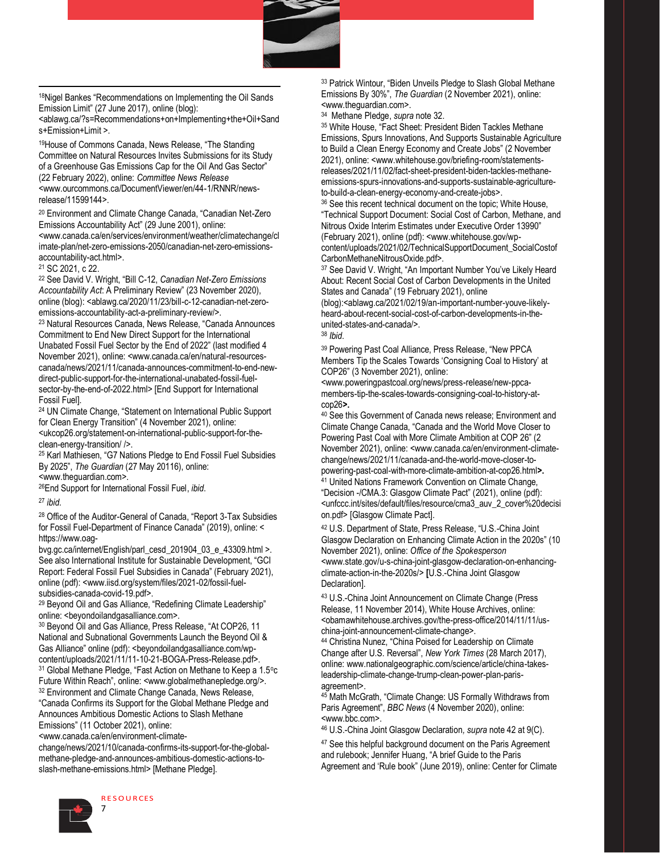

18Nigel Bankes "Recommendations on Implementing the Oil Sands Emission Limit" (27 June 2017), online (blog):

<ablawg.ca/?s=Recommendations+on+Implementing+the+Oil+Sand s+Emission+Limit >.

<sup>19</sup>House of Commons Canada, News Release, "The Standing Committee on Natural Resources Invites Submissions for its Study of a Greenhouse Gas Emissions Cap for the Oil And Gas Sector" (22 February 2022), online: *Committee News Release*  <www.ourcommons.ca/DocumentViewer/en/44-1/RNNR/newsrelease/11599144>.

<sup>20</sup> Environment and Climate Change Canada, "Canadian Net-Zero Emissions Accountability Act" (29 June 2001), online: <www.canada.ca/en/services/environment/weather/climatechange/cl imate-plan/net-zero-emissions-2050/canadian-net-zero-emissionsaccountability-act.html>.

<sup>21</sup> SC 2021, c 22.

<sup>22</sup> See David V. Wright, "Bill C-12, *Canadian Net-Zero Emissions Accountability Act*: A Preliminary Review" (23 November 2020), online (blog): <ablawg.ca/2020/11/23/bill-c-12-canadian-net-zeroemissions-accountability-act-a-preliminary-review/>.

<sup>23</sup> Natural Resources Canada, News Release, "Canada Announces Commitment to End New Direct Support for the International Unabated Fossil Fuel Sector by the End of 2022" (last modified 4 November 2021), online: <www.canada.ca/en/natural-resourcescanada/news/2021/11/canada-announces-commitment-to-end-newdirect-public-support-for-the-international-unabated-fossil-fuelsector-by-the-end-of-2022.html> [End Support for International Fossil Fuel].

<sup>24</sup> UN Climate Change, "Statement on International Public Support for Clean Energy Transition" (4 November 2021), online: <ukcop26.org/statement-on-international-public-support-for-theclean-energy-transition/ />.

<sup>25</sup> Karl Mathiesen, "G7 Nations Pledge to End Fossil Fuel Subsidies By 2025", *The Guardian* (27 May 20116), online: <www.theguardian.com>.

<sup>26</sup>End Support for International Fossil Fuel, *ibid*.

<sup>27</sup> *ibid*.

<sup>28</sup> Office of the Auditor-General of Canada, "Report 3-Tax Subsidies for Fossil Fuel-Department of Finance Canada" (2019), online: < https://www.oag-

bvg.gc.ca/internet/English/parl\_cesd\_201904\_03\_e\_43309.html >. See also International Institute for Sustainable Development, "GCI Report: Federal Fossil Fuel Subsidies in Canada" (February 2021), online (pdf): <www.iisd.org/system/files/2021-02/fossil-fuelsubsidies-canada-covid-19.pdf>.

<sup>29</sup> Beyond Oil and Gas Alliance, "Redefining Climate Leadership" online: <beyondoilandgasalliance.com>.

<sup>30</sup> Beyond Oil and Gas Alliance, Press Release, "At COP26, 11 National and Subnational Governments Launch the Beyond Oil & Gas Alliance" online (pdf): <br/>beyondoilandgasalliance.com/wpcontent/uploads/2021/11/11-10-21-BOGA-Press-Release.pdf>. <sup>31</sup> Global Methane Pledge, "Fast Action on Methane to Keep a 1.5°c

Future Within Reach", online: <www.globalmethanepledge.org/>. <sup>32</sup> Environment and Climate Change Canada, News Release, "Canada Confirms its Support for the Global Methane Pledge and

Announces Ambitious Domestic Actions to Slash Methane Emissions" (11 October 2021), online:

<www.canada.ca/en/environment-climate-

change/news/2021/10/canada-confirms-its-support-for-the-globalmethane-pledge-and-announces-ambitious-domestic-actions-toslash-methane-emissions.html> [Methane Pledge].



33 Patrick Wintour, "Biden Unveils Pledge to Slash Global Methane Emissions By 30%", *The Guardian* (2 November 2021), online: <www.theguardian.com>.

34 Methane Pledge, *supra* note 32.

<sup>35</sup> White House, "Fact Sheet: President Biden Tackles Methane Emissions, Spurs Innovations, And Supports Sustainable Agriculture to Build a Clean Energy Economy and Create Jobs" (2 November 2021), online: <www.whitehouse.gov/briefing-room/statementsreleases/2021/11/02/fact-sheet-president-biden-tackles-methaneemissions-spurs-innovations-and-supports-sustainable-agricultureto-build-a-clean-energy-economy-and-create-jobs>.

<sup>36</sup> See this recent technical document on the topic; White House, "Technical Support Document: Social Cost of Carbon, Methane, and Nitrous Oxide Interim Estimates under Executive Order 13990" (February 2021), online (pdf): <www.whitehouse.gov/wpcontent/uploads/2021/02/TechnicalSupportDocument\_SocialCostof CarbonMethaneNitrousOxide.pdf>.

<sup>37</sup> See David V. Wright, "An Important Number You've Likely Heard About: Recent Social Cost of Carbon Developments in the United States and Canada" (19 February 2021), online

(blog):<ablawg.ca/2021/02/19/an-important-number-youve-likelyheard-about-recent-social-cost-of-carbon-developments-in-theunited-states-and-canada/>.

<sup>38</sup> *Ibid*.

<sup>39</sup> Powering Past Coal Alliance, Press Release, "New PPCA Members Tip the Scales Towards 'Consigning Coal to History' at COP26" (3 November 2021), online:

<www.poweringpastcoal.org/news/press-release/new-ppcamembers-tip-the-scales-towards-consigning-coal-to-history-atcop26**>.**

<sup>40</sup> See this Government of Canada news release; Environment and Climate Change Canada, "Canada and the World Move Closer to Powering Past Coal with More Climate Ambition at COP 26" (2 November 2021), online: <www.canada.ca/en/environment-climatechange/news/2021/11/canada-and-the-world-move-closer-topowering-past-coal-with-more-climate-ambition-at-cop26.html**>.** <sup>41</sup> United Nations Framework Convention on Climate Change, "Decision -/CMA.3: Glasgow Climate Pact" (2021), online (pdf): <unfccc.int/sites/default/files/resource/cma3\_auv\_2\_cover%20decisi on.pdf> [Glasgow Climate Pact].

<sup>42</sup> U.S. Department of State, Press Release, "U.S.-China Joint Glasgow Declaration on Enhancing Climate Action in the 2020s" (10 November 2021), online: *Office of the Spokesperson* <www.state.gov/u-s-china-joint-glasgow-declaration-on-enhancingclimate-action-in-the-2020s/> **[**U.S.-China Joint Glasgow Declaration].

<sup>43</sup> U.S.-China Joint Announcement on Climate Change (Press Release, 11 November 2014), White House Archives, online: <obamawhitehouse.archives.gov/the-press-office/2014/11/11/uschina-joint-announcement-climate-change>.

<sup>44</sup> Christina Nunez, "China Poised for Leadership on Climate Change after U.S. Reversal", *New York Times* (28 March 2017), online: www.nationalgeographic.com/science/article/china-takesleadership-climate-change-trump-clean-power-plan-parisagreement>.

<sup>45</sup> Math McGrath, "Climate Change: US Formally Withdraws from Paris Agreement", *BBC News* (4 November 2020), online: <www.bbc.com>.

<sup>46</sup> U.S.-China Joint Glasgow Declaration*, supra* note 42 at 9(C).

<sup>47</sup> See this helpful background document on the Paris Agreement and rulebook; Jennifer Huang, "A brief Guide to the Paris Agreement and 'Rule book" (June 2019), online: Center for Climate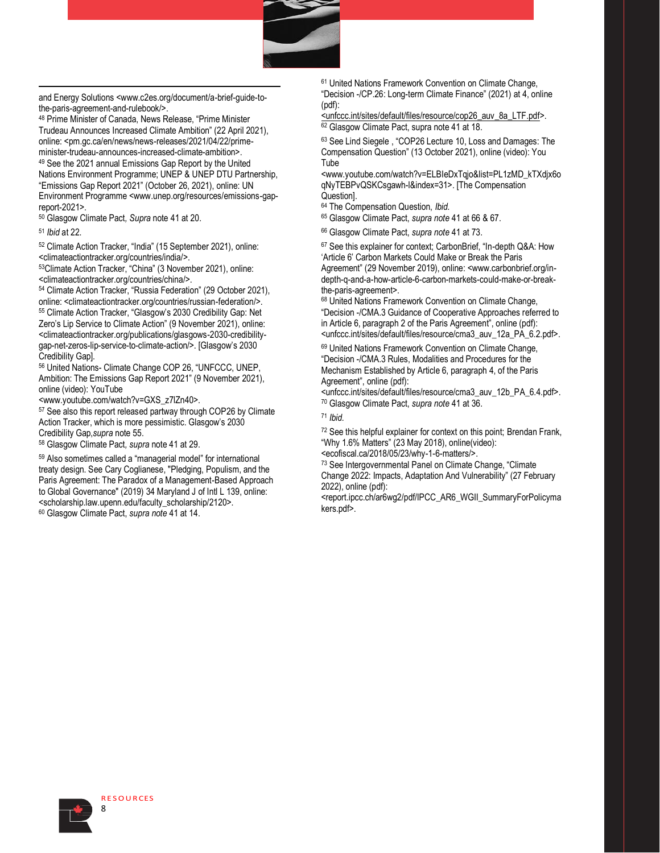

and Energy Solutions <www.c2es.org/document/a-brief-guide-tothe-paris-agreement-and-rulebook/>.

<sup>48</sup> Prime Minister of Canada, News Release, "Prime Minister Trudeau Announces Increased Climate Ambition" (22 April 2021), online: <pm.gc.ca/en/news/news-releases/2021/04/22/primeminister-trudeau-announces-increased-climate-ambition>. <sup>49</sup> See the 2021 annual Emissions Gap Report by the United Nations Environment Programme; UNEP & UNEP DTU Partnership, "Emissions Gap Report 2021" (October 26, 2021), online: UN Environment Programme <www.unep.org/resources/emissions-gapreport-2021>.

<sup>50</sup> Glasgow Climate Pact*, Supra* note 41 at 20.

<sup>51</sup> *Ibid* at 22.

<sup>52</sup> Climate Action Tracker, "India" (15 September 2021), online: <climateactiontracker.org/countries/india/>.

<sup>53</sup>Climate Action Tracker, "China" (3 November 2021), online: <climateactiontracker.org/countries/china/>.

<sup>54</sup> Climate Action Tracker, "Russia Federation" (29 October 2021), online: <climateactiontracker.org/countries/russian-federation/>. <sup>55</sup> Climate Action Tracker, "Glasgow's 2030 Credibility Gap: Net Zero's Lip Service to Climate Action" (9 November 2021), online: <climateactiontracker.org/publications/glasgows-2030-credibilitygap-net-zeros-lip-service-to-climate-action/>. [Glasgow's 2030 Credibility Gap].

<sup>56</sup> United Nations- Climate Change COP 26, "UNFCCC, UNEP, Ambition: The Emissions Gap Report 2021" (9 November 2021), online (video): YouTube

<www.youtube.com/watch?v=GXS\_z7lZn40>.

<sup>57</sup> See also this report released partway through COP26 by Climate Action Tracker, which is more pessimistic. Glasgow's 2030 Credibility Gap,*supra* note 55.

<sup>58</sup> Glasgow Climate Pact*, supra* note 41 at 29.

<sup>59</sup> Also sometimes called a "managerial model" for international treaty design. See Cary Coglianese, "Pledging, Populism, and the Paris Agreement: The Paradox of a Management-Based Approach to Global Governance" (2019) 34 Maryland J of Intl L 139, online: <scholarship.law.upenn.edu/faculty\_scholarship/2120>. <sup>60</sup> Glasgow Climate Pact, *supra note* 41 at 14.

<sup>61</sup> United Nations Framework Convention on Climate Change, "Decision -/CP.26: Long-term Climate Finance" (2021) at 4, online (pdf):

<unfccc.int/sites/default/files/resource/cop26\_auv\_8a\_LTF.pdf>. <sup>62</sup> Glasgow Climate Pact, supra note 41 at 18.

<sup>63</sup> See Lind Siegele , "COP26 Lecture 10, Loss and Damages: The Compensation Question" (13 October 2021), online (video): You Tube

<www.youtube.com/watch?v=ELBIeDxTqjo&list=PL1zMD\_kTXdjx6o qNyTEBPvQSKCsgawh-l&index=31>. [The Compensation Question].

<sup>64</sup> The Compensation Question, *Ibid.*

<sup>65</sup> Glasgow Climate Pact, *supra note* 41 at 66 & 67.

<sup>66</sup> Glasgow Climate Pact, *supra note* 41 at 73.

<sup>67</sup> See this explainer for context; CarbonBrief, "In-depth Q&A: How 'Article 6' Carbon Markets Could Make or Break the Paris Agreement" (29 November 2019), online: <www.carbonbrief.org/indepth-q-and-a-how-article-6-carbon-markets-could-make-or-breakthe-paris-agreement>.

<sup>68</sup> United Nations Framework Convention on Climate Change, "Decision -/CMA.3 Guidance of Cooperative Approaches referred to in Article 6, paragraph 2 of the Paris Agreement", online (pdf): <unfccc.int/sites/default/files/resource/cma3\_auv\_12a\_PA\_6.2.pdf>.

<sup>69</sup> United Nations Framework Convention on Climate Change, "Decision -/CMA.3 Rules, Modalities and Procedures for the Mechanism Established by Article 6, paragraph 4, of the Paris Agreement", online (pdf):

<unfccc.int/sites/default/files/resource/cma3\_auv\_12b\_PA\_6.4.pdf>. <sup>70</sup> Glasgow Climate Pact, *supra note* 41 at 36.

<sup>71</sup> *Ibid.*

<sup>72</sup> See this helpful explainer for context on this point; Brendan Frank, "Why 1.6% Matters" (23 May 2018), online(video):

<ecofiscal.ca/2018/05/23/why-1-6-matters/>.

<sup>73</sup> See Intergovernmental Panel on Climate Change, "Climate Change 2022: Impacts, Adaptation And Vulnerability" (27 February 2022), online (pdf):

<report.ipcc.ch/ar6wg2/pdf/IPCC\_AR6\_WGII\_SummaryForPolicyma kers.pdf>.

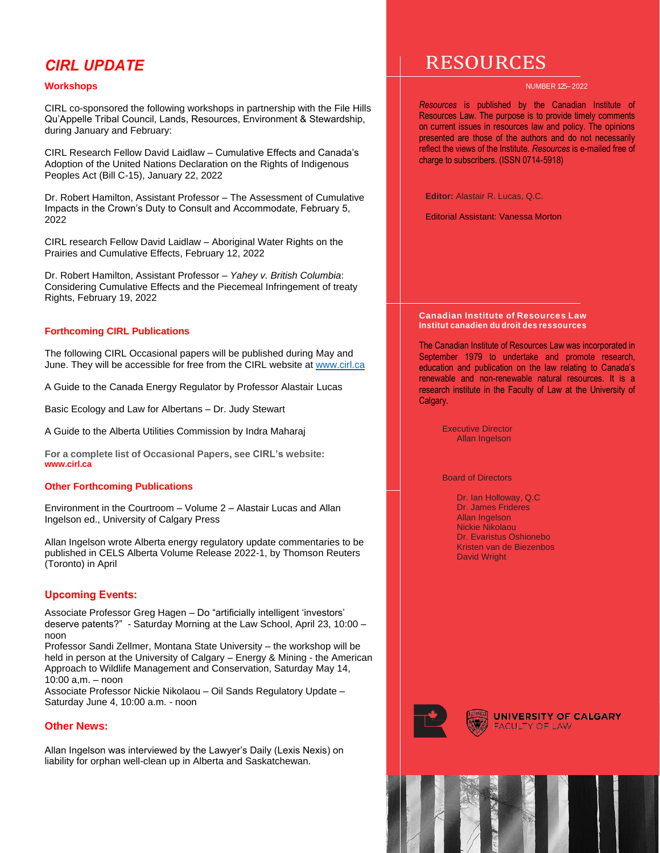# *CIRL UPDATE*

# **Workshops**

CIRL co-sponsored the following workshops in partnership with the File Hills Qu'Appelle Tribal Council, Lands, Resources, Environment & Stewardship, during January and February:

CIRL Research Fellow David Laidlaw – Cumulative Effects and Canada's Adoption of the United Nations Declaration on the Rights of Indigenous Peoples Act (Bill C-15), January 22, 2022

Dr. Robert Hamilton, Assistant Professor – The Assessment of Cumulative Impacts in the Crown's Duty to Consult and Accommodate, February 5, 2022

CIRL research Fellow David Laidlaw – Aboriginal Water Rights on the Prairies and Cumulative Effects, February 12, 2022

Dr. Robert Hamilton, Assistant Professor – *Yahey v. British Columbia*: Considering Cumulative Effects and the Piecemeal Infringement of treaty Rights, February 19, 2022

# **Forthcoming CIRL Publications**

The following CIRL Occasional papers will be published during May and June. They will be accessible for free from the CIRL website at www.cirl.ca

A Guide to the Canada Energy Regulator by Professor Alastair Lucas

Basic Ecology and Law for Albertans – Dr. Judy Stewart

A Guide to the Alberta Utilities Commission by Indra Maharaj

**For a complete list of Occasional Papers, see CIRL's website: www.cirl.ca**

# **Other Forthcoming Publications**

Environment in the Courtroom – Volume 2 – Alastair Lucas and Allan Ingelson ed., University of Calgary Press

Allan Ingelson wrote Alberta energy regulatory update commentaries to be published in CELS Alberta Volume Release 2022-1, by Thomson Reuters (Toronto) in April

# **Upcoming Events:**

Associate Professor Greg Hagen – Do "artificially intelligent 'investors' deserve patents?" - Saturday Morning at the Law School, April 23, 10:00 – noon

Professor Sandi Zellmer, Montana State University – the workshop will be held in person at the University of Calgary – Energy & Mining - the American Approach to Wildlife Management and Conservation, Saturday May 14, 10:00 a,m. – noon

Associate Professor Nickie Nikolaou – Oil Sands Regulatory Update – Saturday June 4, 10:00 a.m. - noon

# **Other News:**

Allan Ingelson was interviewed by the Lawyer's Daily (Lexis Nexis) on liability for orphan well-clean up in Alberta and Saskatchewan.

# RESOURCES

#### NUMBER 125– 2022

*Resources* is published by the Canadian Institute of Resources Law. The purpose is to provide timely comments on current issues in resources law and policy. The opinions presented are those of the authors and do not necessarily reflect the views of the Institute. *Resources* is e-mailed free of charge to subscribers. (ISSN 0714-5918)

**Editor:** Alastair R. Lucas, Q.C.

Editorial Assistant: Vanessa Morton

#### **Canadian Institute of Resources Law Institut canadien du droit des ressources**

The Canadian Institute of Resources Law was incorporated in September 1979 to undertake and promote research, education and publication on the law relating to Canada's renewable and non-renewable natural resources. It is a research institute in the Faculty of Law at the University of Calgary.

> Executive Director Allan Ingelson

Board of Directors

Dr. Ian Holloway, Q.C Dr. James Frideres Allan Ingelson Nickie Nikolaou Dr. Evaristus Oshionebo Kristen van de Biezenbos David Wright



**UNIVERSITY OF CALGARY FACULTY OF LAW**